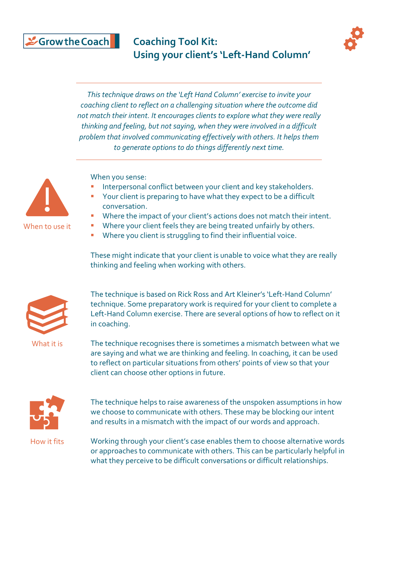#### & Grow the Coach

### **Coaching Tool Kit: Using your client's 'Left-Hand Column'**



*This technique draws on the 'Left Hand Column' exercise to invite your coaching client to reflect on a challenging situation where the outcome did not match their intent. It encourages clients to explore what they were really thinking and feeling, but not saying, when they were involved in a difficult problem that involved communicating effectively with others. It helps them to generate options to do things differently next time.*



When you sense:

- Interpersonal conflict between your client and key stakeholders.
- Your client is preparing to have what they expect to be a difficult conversation.
- Where the impact of your client's actions does not match their intent.
- Where your client feels they are being treated unfairly by others.
- Where you client is struggling to find their influential voice.

These might indicate that your client is unable to voice what they are really thinking and feeling when working with others.



What it is

The technique is based on Rick Ross and Art Kleiner's 'Left-Hand Column' technique. Some preparatory work is required for your client to complete a Left-Hand Column exercise. There are several options of how to reflect on it in coaching.

The technique recognises there is sometimes a mismatch between what we are saying and what we are thinking and feeling. In coaching, it can be used to reflect on particular situations from others' points of view so that your client can choose other options in future.



The technique helps to raise awareness of the unspoken assumptions in how we choose to communicate with others. These may be blocking our intent and results in a mismatch with the impact of our words and approach.

How it fits

Working through your client's case enables them to choose alternative words or approaches to communicate with others. This can be particularly helpful in what they perceive to be difficult conversations or difficult relationships.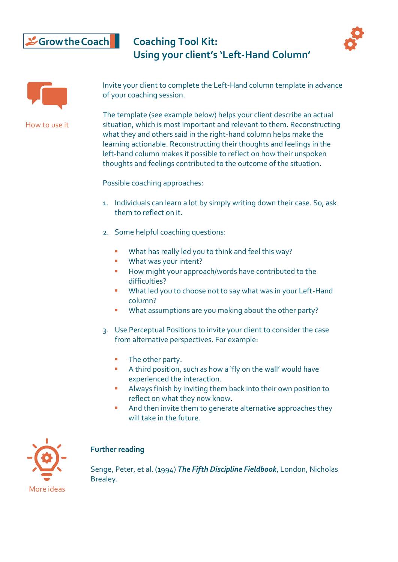# Scrow the Coach

**Coaching Tool Kit: Using your client's 'Left-Hand Column'**





How to use it

Invite your client to complete the Left-Hand column template in advance of your coaching session.

The template (see example below) helps your client describe an actual situation, which is most important and relevant to them. Reconstructing what they and others said in the right-hand column helps make the learning actionable. Reconstructing their thoughts and feelings in the left-hand column makes it possible to reflect on how their unspoken thoughts and feelings contributed to the outcome of the situation.

Possible coaching approaches:

- 1. Individuals can learn a lot by simply writing down their case. So, ask them to reflect on it.
- 2. Some helpful coaching questions:
	- What has really led you to think and feel this way?
	- **■** What was your intent?
	- How might your approach/words have contributed to the difficulties?
	- What led you to choose not to say what was in your Left-Hand column?
	- What assumptions are you making about the other party?
- 3. Use Perceptual Positions to invite your client to consider the case from alternative perspectives. For example:
	- The other party.
	- A third position, such as how a 'fly on the wall' would have experienced the interaction.
	- Always finish by inviting them back into their own position to reflect on what they now know.
	- And then invite them to generate alternative approaches they will take in the future.



#### **Further reading**

Senge, Peter, et al. (1994) *The Fifth Discipline Fieldbook*, London, Nicholas Brealey.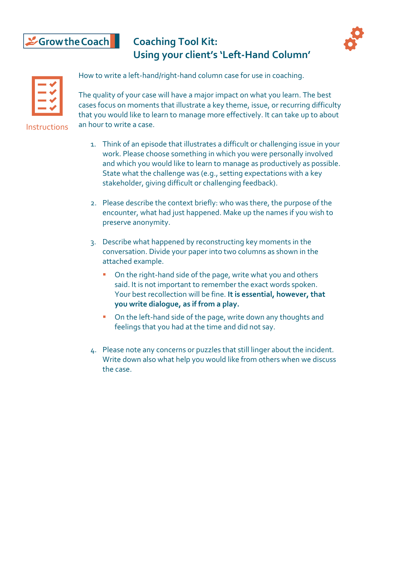# Scrow the Coach

## **Coaching Tool Kit: Using your client's 'Left-Hand Column'**



How to write a left-hand/right-hand column case for use in coaching.

The quality of your case will have a major impact on what you learn. The best cases focus on moments that illustrate a key theme, issue, or recurring difficulty that you would like to learn to manage more effectively. It can take up to about an hour to write a case.

Instructions

- 1. Think of an episode that illustrates a difficult or challenging issue in your work. Please choose something in which you were personally involved and which you would like to learn to manage as productively as possible. State what the challenge was (e.g., setting expectations with a key stakeholder, giving difficult or challenging feedback).
- 2. Please describe the context briefly: who was there, the purpose of the encounter, what had just happened. Make up the names if you wish to preserve anonymity.
- 3. Describe what happened by reconstructing key moments in the conversation. Divide your paper into two columns as shown in the attached example.
	- On the right-hand side of the page, write what you and others said. It is not important to remember the exact words spoken. Your best recollection will be fine. **It is essential, however, that you write dialogue, as if from a play.**
	- On the left-hand side of the page, write down any thoughts and feelings that you had at the time and did not say.
- 4. Please note any concerns or puzzles that still linger about the incident. Write down also what help you would like from others when we discuss the case.